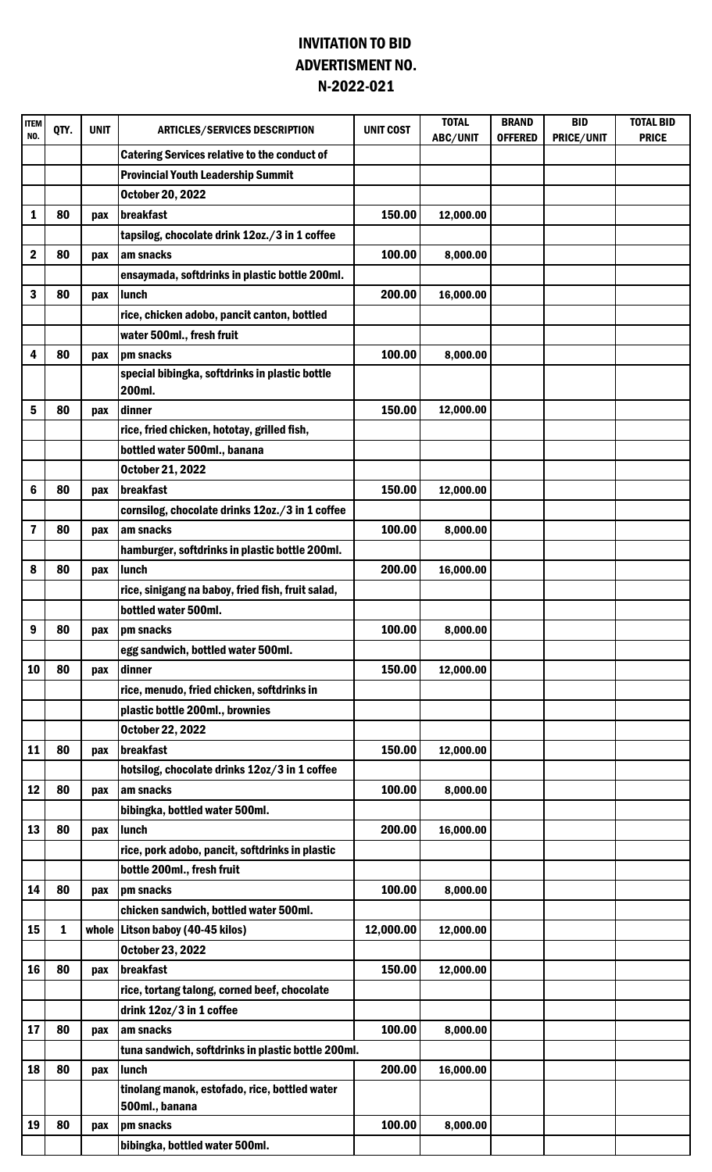## INVITATION TO BID N-2022-021 ADVERTISMENT NO.

| <b>ITEM</b><br>NO. | QTY.         | <b>UNIT</b> | <b>ARTICLES/SERVICES DESCRIPTION</b>                     | <b>UNIT COST</b> | <b>TOTAL</b><br>ABC/UNIT | <b>BRAND</b><br><b>OFFERED</b> | <b>BID</b><br>PRICE/UNIT | <b>TOTAL BID</b><br><b>PRICE</b> |
|--------------------|--------------|-------------|----------------------------------------------------------|------------------|--------------------------|--------------------------------|--------------------------|----------------------------------|
|                    |              |             | <b>Catering Services relative to the conduct of</b>      |                  |                          |                                |                          |                                  |
|                    |              |             | <b>Provincial Youth Leadership Summit</b>                |                  |                          |                                |                          |                                  |
|                    |              |             | <b>October 20, 2022</b>                                  |                  |                          |                                |                          |                                  |
| 1                  | 80           | pax         | <b>breakfast</b>                                         | 150.00           | 12,000.00                |                                |                          |                                  |
|                    |              |             | tapsilog, chocolate drink 12oz./3 in 1 coffee            |                  |                          |                                |                          |                                  |
| $\mathbf 2$        | 80           | pax         | am snacks                                                | 100.00           | 8,000.00                 |                                |                          |                                  |
|                    |              |             | ensaymada, softdrinks in plastic bottle 200ml.           |                  |                          |                                |                          |                                  |
| 3                  | 80           | pax         | lunch                                                    | 200.00           | 16,000.00                |                                |                          |                                  |
|                    |              |             | rice, chicken adobo, pancit canton, bottled              |                  |                          |                                |                          |                                  |
|                    |              |             | water 500ml., fresh fruit                                |                  |                          |                                |                          |                                  |
| 4                  | 80           | pax         | pm snacks                                                | 100.00           | 8,000.00                 |                                |                          |                                  |
|                    |              |             | special bibingka, softdrinks in plastic bottle<br>200ml. |                  |                          |                                |                          |                                  |
| 5                  | 80           | pax         | dinner                                                   | 150.00           | 12,000.00                |                                |                          |                                  |
|                    |              |             | rice, fried chicken, hototay, grilled fish,              |                  |                          |                                |                          |                                  |
|                    |              |             | bottled water 500ml., banana                             |                  |                          |                                |                          |                                  |
|                    |              |             | <b>October 21, 2022</b>                                  |                  |                          |                                |                          |                                  |
| 6                  | 80           | pax         | breakfast                                                | 150.00           | 12,000.00                |                                |                          |                                  |
|                    |              |             | cornsilog, chocolate drinks 12oz./3 in 1 coffee          |                  |                          |                                |                          |                                  |
| 7                  | 80           | pax         | am snacks                                                | 100.00           | 8,000.00                 |                                |                          |                                  |
|                    |              |             | hamburger, softdrinks in plastic bottle 200ml.           |                  |                          |                                |                          |                                  |
| 8                  | 80           | pax         | lunch                                                    | 200.00           | 16,000.00                |                                |                          |                                  |
|                    |              |             | rice, sinigang na baboy, fried fish, fruit salad,        |                  |                          |                                |                          |                                  |
|                    |              |             | bottled water 500ml.                                     |                  |                          |                                |                          |                                  |
| 9                  | 80           | pax         | Ipm snacks                                               | 100.00           | 8,000.00                 |                                |                          |                                  |
|                    |              |             | egg sandwich, bottled water 500ml.                       |                  |                          |                                |                          |                                  |
| 10                 | 80           | pax         | dinner                                                   | 150.00           | 12,000.00                |                                |                          |                                  |
|                    |              |             | rice, menudo, fried chicken, softdrinks in               |                  |                          |                                |                          |                                  |
|                    |              |             | plastic bottle 200ml., brownies                          |                  |                          |                                |                          |                                  |
|                    |              |             | <b>October 22, 2022</b>                                  |                  |                          |                                |                          |                                  |
| 11                 | 80           | pax         | <b>breakfast</b>                                         | 150.00           | 12,000.00                |                                |                          |                                  |
|                    |              |             | hotsilog, chocolate drinks 12oz/3 in 1 coffee            |                  |                          |                                |                          |                                  |
| 12                 | 80           | pax         | am snacks                                                | 100.00           | 8,000.00                 |                                |                          |                                  |
|                    |              |             | bibingka, bottled water 500ml.                           |                  |                          |                                |                          |                                  |
| 13                 | 80           | pax         | lunch                                                    | 200.00           | 16,000.00                |                                |                          |                                  |
|                    |              |             | rice, pork adobo, pancit, softdrinks in plastic          |                  |                          |                                |                          |                                  |
|                    |              |             | bottle 200ml., fresh fruit                               |                  |                          |                                |                          |                                  |
| 14                 | 80           | pax         | pm snacks                                                | 100.00           | 8,000.00                 |                                |                          |                                  |
|                    |              |             | chicken sandwich, bottled water 500ml.                   |                  |                          |                                |                          |                                  |
| 15                 | $\mathbf{1}$ |             | whole   Litson baboy (40-45 kilos)                       | 12,000.00        | 12,000.00                |                                |                          |                                  |
|                    |              |             | October 23, 2022                                         |                  |                          |                                |                          |                                  |
| 16                 | 80           | pax         | breakfast                                                | 150.00           | 12,000.00                |                                |                          |                                  |
|                    |              |             | rice, tortang talong, corned beef, chocolate             |                  |                          |                                |                          |                                  |
|                    |              |             | drink 12oz/3 in 1 coffee                                 |                  |                          |                                |                          |                                  |
| 17                 | 80           | pax         | am snacks                                                | 100.00           | 8,000.00                 |                                |                          |                                  |
|                    |              |             | tuna sandwich, softdrinks in plastic bottle 200ml.       |                  |                          |                                |                          |                                  |
| 18                 | 80           | pax         | lunch                                                    | 200.00           | 16,000.00                |                                |                          |                                  |
|                    |              |             | tinolang manok, estofado, rice, bottled water            |                  |                          |                                |                          |                                  |
|                    |              |             | 500ml., banana                                           |                  |                          |                                |                          |                                  |
| 19                 | 80           | pax         | pm snacks                                                | 100.00           | 8,000.00                 |                                |                          |                                  |
|                    |              |             | bibingka, bottled water 500ml.                           |                  |                          |                                |                          |                                  |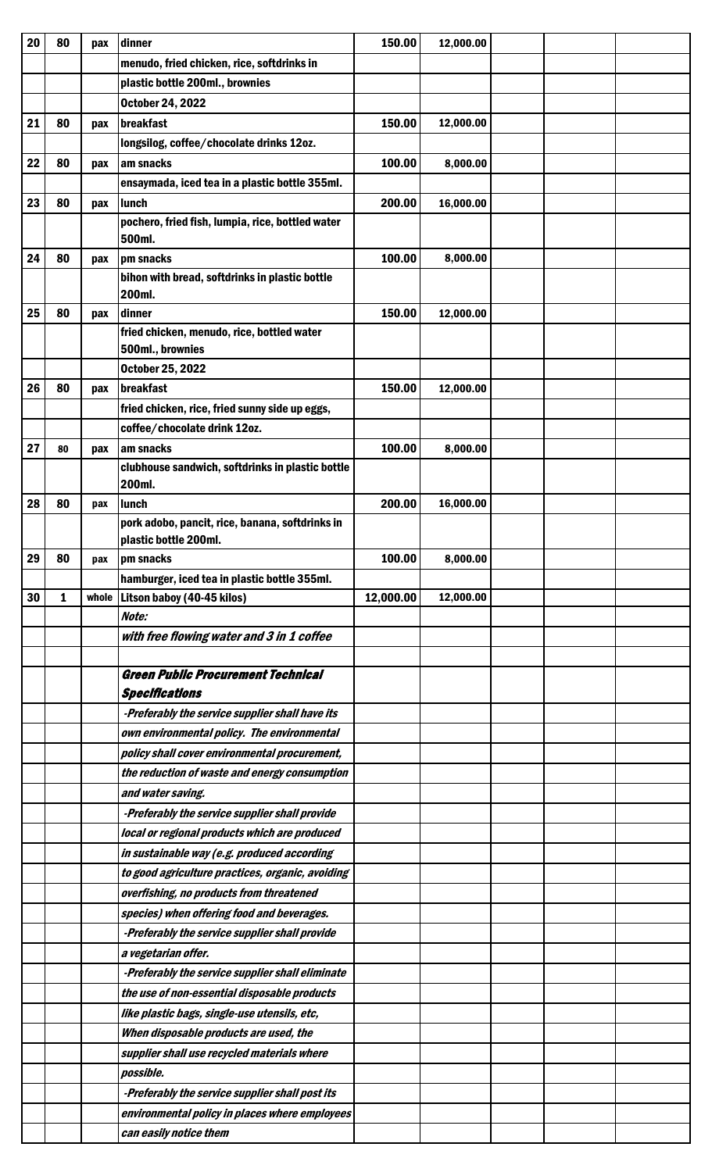| 20 | 80 | pax | dinner                                                     | 150.00    | 12,000.00 |  |  |
|----|----|-----|------------------------------------------------------------|-----------|-----------|--|--|
|    |    |     | menudo, fried chicken, rice, softdrinks in                 |           |           |  |  |
|    |    |     | plastic bottle 200ml., brownies                            |           |           |  |  |
|    |    |     | <b>October 24, 2022</b>                                    |           |           |  |  |
| 21 | 80 | pax | breakfast                                                  | 150.00    | 12,000.00 |  |  |
|    |    |     | longsilog, coffee/chocolate drinks 12oz.                   |           |           |  |  |
| 22 | 80 | pax | am snacks                                                  | 100.00    | 8,000.00  |  |  |
|    |    |     | ensaymada, iced tea in a plastic bottle 355ml.             |           |           |  |  |
| 23 | 80 | pax | lunch                                                      | 200.00    | 16,000.00 |  |  |
|    |    |     | pochero, fried fish, lumpia, rice, bottled water           |           |           |  |  |
|    |    |     | 500ml.                                                     |           |           |  |  |
| 24 | 80 | pax | pm snacks                                                  | 100.00    | 8,000.00  |  |  |
|    |    |     | bihon with bread, softdrinks in plastic bottle             |           |           |  |  |
|    |    |     | 200ml.                                                     |           |           |  |  |
| 25 | 80 | pax | dinner                                                     | 150.00    | 12,000.00 |  |  |
|    |    |     | fried chicken, menudo, rice, bottled water                 |           |           |  |  |
|    |    |     | 500ml., brownies                                           |           |           |  |  |
|    |    |     | <b>October 25, 2022</b>                                    |           |           |  |  |
| 26 | 80 | pax | breakfast                                                  | 150.00    | 12,000.00 |  |  |
|    |    |     | fried chicken, rice, fried sunny side up eggs,             |           |           |  |  |
|    |    |     | coffee/chocolate drink 12oz.                               |           |           |  |  |
| 27 | 80 | pax | am snacks                                                  | 100.00    | 8,000.00  |  |  |
|    |    |     | clubhouse sandwich, softdrinks in plastic bottle<br>200ml. |           |           |  |  |
| 28 | 80 |     | lunch                                                      | 200.00    | 16,000.00 |  |  |
|    |    | pax | pork adobo, pancit, rice, banana, softdrinks in            |           |           |  |  |
|    |    |     | plastic bottle 200ml.                                      |           |           |  |  |
| 29 | 80 | pax | pm snacks                                                  | 100.00    | 8,000.00  |  |  |
|    |    |     | hamburger, iced tea in plastic bottle 355ml.               |           |           |  |  |
| 30 | 1  |     | whole   Litson baboy (40-45 kilos)                         | 12,000.00 | 12,000.00 |  |  |
|    |    |     | Note:                                                      |           |           |  |  |
|    |    |     | with free flowing water and 3 in 1 coffee                  |           |           |  |  |
|    |    |     |                                                            |           |           |  |  |
|    |    |     |                                                            |           |           |  |  |
|    |    |     | <b>Green Public Procurement Technical</b>                  |           |           |  |  |
|    |    |     | <b>Specifications</b>                                      |           |           |  |  |
|    |    |     | -Preferably the service supplier shall have its            |           |           |  |  |
|    |    |     | own environmental policy. The environmental                |           |           |  |  |
|    |    |     | policy shall cover environmental procurement,              |           |           |  |  |
|    |    |     | the reduction of waste and energy consumption              |           |           |  |  |
|    |    |     | and water saving.                                          |           |           |  |  |
|    |    |     | -Preferably the service supplier shall provide             |           |           |  |  |
|    |    |     | local or regional products which are produced              |           |           |  |  |
|    |    |     | in sustainable way (e.g. produced according                |           |           |  |  |
|    |    |     | to good agriculture practices, organic, avoiding           |           |           |  |  |
|    |    |     | overfishing, no products from threatened                   |           |           |  |  |
|    |    |     | species) when offering food and beverages.                 |           |           |  |  |
|    |    |     | -Preferably the service supplier shall provide             |           |           |  |  |
|    |    |     | a vegetarian offer.                                        |           |           |  |  |
|    |    |     | -Preferably the service supplier shall eliminate           |           |           |  |  |
|    |    |     | the use of non-essential disposable products               |           |           |  |  |
|    |    |     | like plastic bags, single-use utensils, etc,               |           |           |  |  |
|    |    |     | When disposable products are used, the                     |           |           |  |  |
|    |    |     | supplier shall use recycled materials where                |           |           |  |  |
|    |    |     | <i>possible.</i>                                           |           |           |  |  |
|    |    |     | -Preferably the service supplier shall post its            |           |           |  |  |
|    |    |     | environmental policy in places where employees             |           |           |  |  |